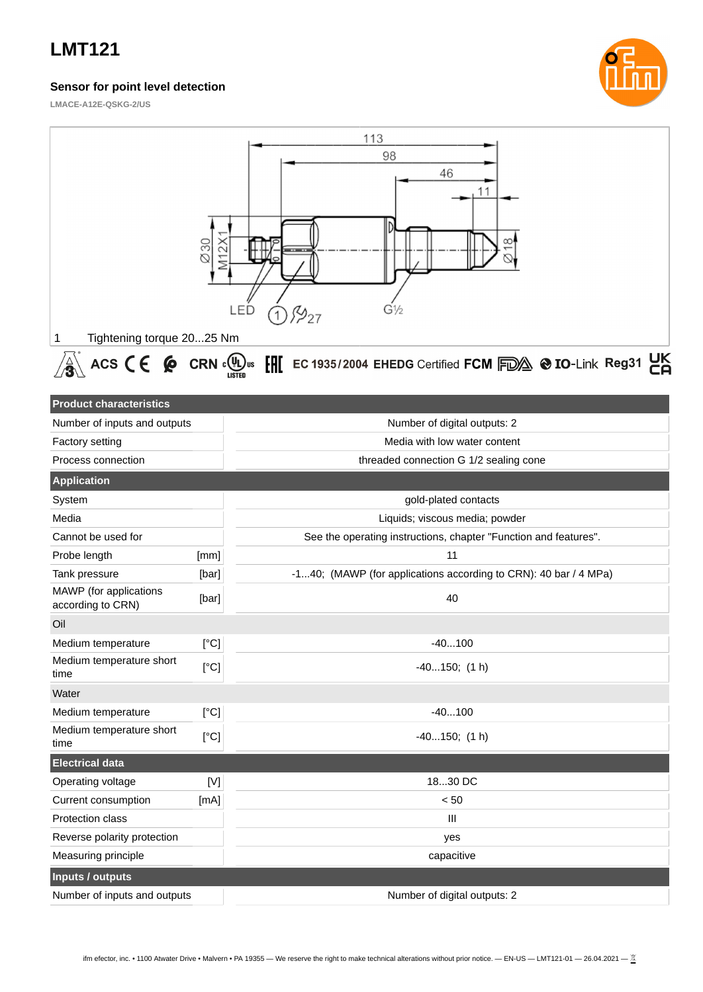### **Sensor for point level detection**



**LMACE-A12E-QSKG-2/US**

| Tightening torque 2025 Nm<br>1                                                                                                                                                                                                                                                                                                                                                                                                                                                                                                                                                                                                     | $\varnothing$ 30<br>M12X | 113<br>98<br>46<br>11<br>LED<br>$G\frac{1}{2}$<br>P27                  |  |  |  |  |
|------------------------------------------------------------------------------------------------------------------------------------------------------------------------------------------------------------------------------------------------------------------------------------------------------------------------------------------------------------------------------------------------------------------------------------------------------------------------------------------------------------------------------------------------------------------------------------------------------------------------------------|--------------------------|------------------------------------------------------------------------|--|--|--|--|
| ACS $\mathsf{CE}$ $\mathsf{Q}$ CRN $\mathsf{C}$ <sub>LISTED</sub> us<br>$\left[\begin{matrix} \begin{matrix} 0 & \begin{matrix} 0 & \end{matrix} & \begin{matrix} 0 & \end{matrix} & \begin{matrix} 0 & \end{matrix} & \begin{matrix} 0 & \end{matrix} & \begin{matrix} 0 & \end{matrix} & \begin{matrix} 0 & \end{matrix} & \begin{matrix} 0 & \end{matrix} & \begin{matrix} 0 & \end{matrix} & \begin{matrix} 0 & \end{matrix} & \begin{matrix} 0 & \end{matrix} & \begin{matrix} 0 & \end{matrix} & \begin{matrix} 0 & \end{matrix} & \begin{matrix} 0 & \end{matrix} & \begin{matrix} 0 & \end{matrix} & \begin{matrix} 0 & \$ |                          |                                                                        |  |  |  |  |
| <b>Product characteristics</b><br>Number of inputs and outputs<br>Factory setting                                                                                                                                                                                                                                                                                                                                                                                                                                                                                                                                                  |                          | Number of digital outputs: 2<br>Media with low water content           |  |  |  |  |
| Process connection                                                                                                                                                                                                                                                                                                                                                                                                                                                                                                                                                                                                                 |                          | threaded connection G 1/2 sealing cone                                 |  |  |  |  |
| <b>Application</b>                                                                                                                                                                                                                                                                                                                                                                                                                                                                                                                                                                                                                 |                          |                                                                        |  |  |  |  |
| System                                                                                                                                                                                                                                                                                                                                                                                                                                                                                                                                                                                                                             |                          | gold-plated contacts                                                   |  |  |  |  |
| Media                                                                                                                                                                                                                                                                                                                                                                                                                                                                                                                                                                                                                              |                          | Liquids; viscous media; powder                                         |  |  |  |  |
| Cannot be used for                                                                                                                                                                                                                                                                                                                                                                                                                                                                                                                                                                                                                 |                          | See the operating instructions, chapter "Function and features".       |  |  |  |  |
| Probe length                                                                                                                                                                                                                                                                                                                                                                                                                                                                                                                                                                                                                       | [mm]                     | 11                                                                     |  |  |  |  |
| Tank pressure<br>MAWP (for applications<br>according to CRN)                                                                                                                                                                                                                                                                                                                                                                                                                                                                                                                                                                       | [bar]<br>[bar]           | -140; (MAWP (for applications according to CRN): 40 bar / 4 MPa)<br>40 |  |  |  |  |
| Oil                                                                                                                                                                                                                                                                                                                                                                                                                                                                                                                                                                                                                                |                          |                                                                        |  |  |  |  |
| Medium temperature                                                                                                                                                                                                                                                                                                                                                                                                                                                                                                                                                                                                                 | [°C]                     | $-40100$                                                               |  |  |  |  |
| Medium temperature short<br>time                                                                                                                                                                                                                                                                                                                                                                                                                                                                                                                                                                                                   | [°C]                     | $-40150;$ (1 h)                                                        |  |  |  |  |
| Water                                                                                                                                                                                                                                                                                                                                                                                                                                                                                                                                                                                                                              |                          |                                                                        |  |  |  |  |
| Medium temperature                                                                                                                                                                                                                                                                                                                                                                                                                                                                                                                                                                                                                 | [°C]                     | $-40100$                                                               |  |  |  |  |
| Medium temperature short<br>time                                                                                                                                                                                                                                                                                                                                                                                                                                                                                                                                                                                                   | [°C]                     | $-40150;$ (1 h)                                                        |  |  |  |  |
| <b>Electrical data</b>                                                                                                                                                                                                                                                                                                                                                                                                                                                                                                                                                                                                             |                          |                                                                        |  |  |  |  |
| Operating voltage                                                                                                                                                                                                                                                                                                                                                                                                                                                                                                                                                                                                                  | $[{\sf V}]$              | 1830 DC                                                                |  |  |  |  |
| Current consumption                                                                                                                                                                                                                                                                                                                                                                                                                                                                                                                                                                                                                | [mA]                     | < 50                                                                   |  |  |  |  |
| Protection class                                                                                                                                                                                                                                                                                                                                                                                                                                                                                                                                                                                                                   |                          | Ш                                                                      |  |  |  |  |
| Reverse polarity protection                                                                                                                                                                                                                                                                                                                                                                                                                                                                                                                                                                                                        |                          | yes                                                                    |  |  |  |  |
| Measuring principle                                                                                                                                                                                                                                                                                                                                                                                                                                                                                                                                                                                                                |                          | capacitive                                                             |  |  |  |  |
| <b>Inputs / outputs</b>                                                                                                                                                                                                                                                                                                                                                                                                                                                                                                                                                                                                            |                          |                                                                        |  |  |  |  |
| Number of inputs and outputs                                                                                                                                                                                                                                                                                                                                                                                                                                                                                                                                                                                                       |                          | Number of digital outputs: 2                                           |  |  |  |  |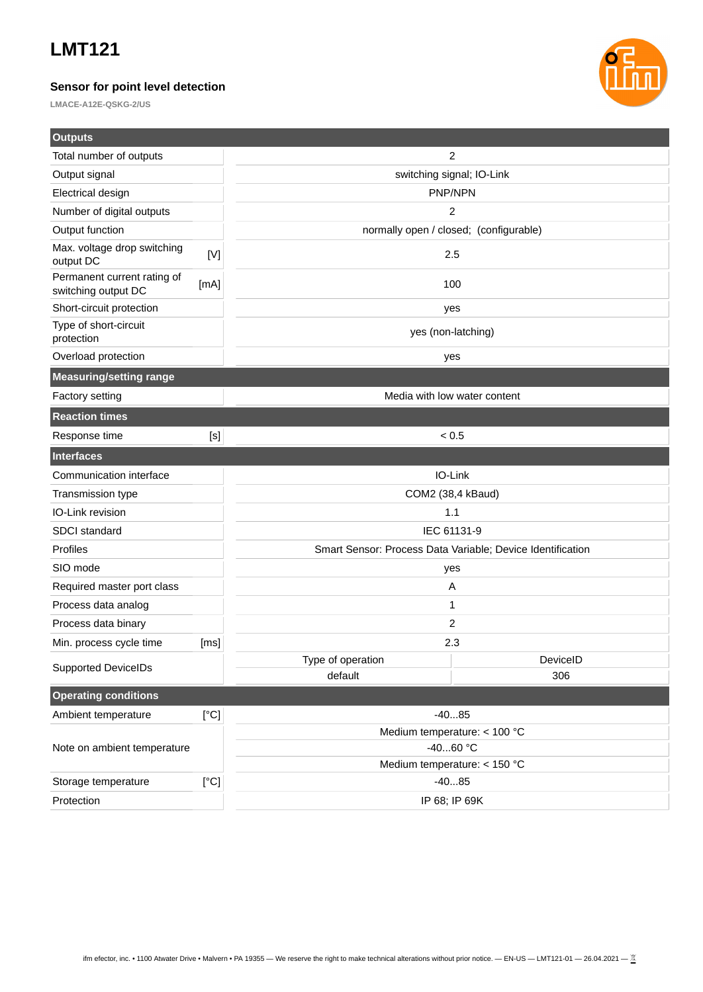### **Sensor for point level detection**

**LMACE-A12E-QSKG-2/US**



| <b>Outputs</b>                                     |             |                                                            |               |  |
|----------------------------------------------------|-------------|------------------------------------------------------------|---------------|--|
| Total number of outputs                            |             | 2                                                          |               |  |
| Output signal                                      |             | switching signal; IO-Link                                  |               |  |
| Electrical design                                  |             | PNP/NPN                                                    |               |  |
| Number of digital outputs                          |             | 2                                                          |               |  |
| Output function                                    |             | normally open / closed; (configurable)                     |               |  |
| Max. voltage drop switching<br>output DC           | $[{\sf V}]$ | 2.5                                                        |               |  |
| Permanent current rating of<br>switching output DC | [mA]        | 100                                                        |               |  |
| Short-circuit protection                           |             | yes                                                        |               |  |
| Type of short-circuit<br>protection                |             | yes (non-latching)                                         |               |  |
| Overload protection                                |             | yes                                                        |               |  |
| Measuring/setting range                            |             |                                                            |               |  |
| Factory setting                                    |             | Media with low water content                               |               |  |
| <b>Reaction times</b>                              |             |                                                            |               |  |
| Response time                                      | $[<]$       | ${}_{0.5}$                                                 |               |  |
| <b>Interfaces</b>                                  |             |                                                            |               |  |
| Communication interface                            |             |                                                            | IO-Link       |  |
| Transmission type                                  |             | COM2 (38,4 kBaud)                                          |               |  |
| IO-Link revision                                   |             |                                                            | 1.1           |  |
| SDCI standard                                      |             | IEC 61131-9                                                |               |  |
| Profiles                                           |             | Smart Sensor: Process Data Variable; Device Identification |               |  |
| SIO mode                                           |             | yes                                                        |               |  |
| Required master port class                         |             | Α                                                          |               |  |
| Process data analog                                |             | 1                                                          |               |  |
| Process data binary<br>2                           |             |                                                            |               |  |
| Min. process cycle time                            | [ms]        | 2.3                                                        |               |  |
| <b>Supported DeviceIDs</b>                         |             | Type of operation                                          | DeviceID      |  |
|                                                    |             | default                                                    | 306           |  |
| <b>Operating conditions</b>                        |             |                                                            |               |  |
| Ambient temperature                                | [°C]        | $-4085$                                                    |               |  |
| Note on ambient temperature                        |             | Medium temperature: < 100 °C                               |               |  |
|                                                    |             | $-4060$ °C                                                 |               |  |
|                                                    |             | Medium temperature: < 150 °C<br>$-4085$                    |               |  |
| [°C]<br>Storage temperature                        |             |                                                            | IP 68; IP 69K |  |
| Protection                                         |             |                                                            |               |  |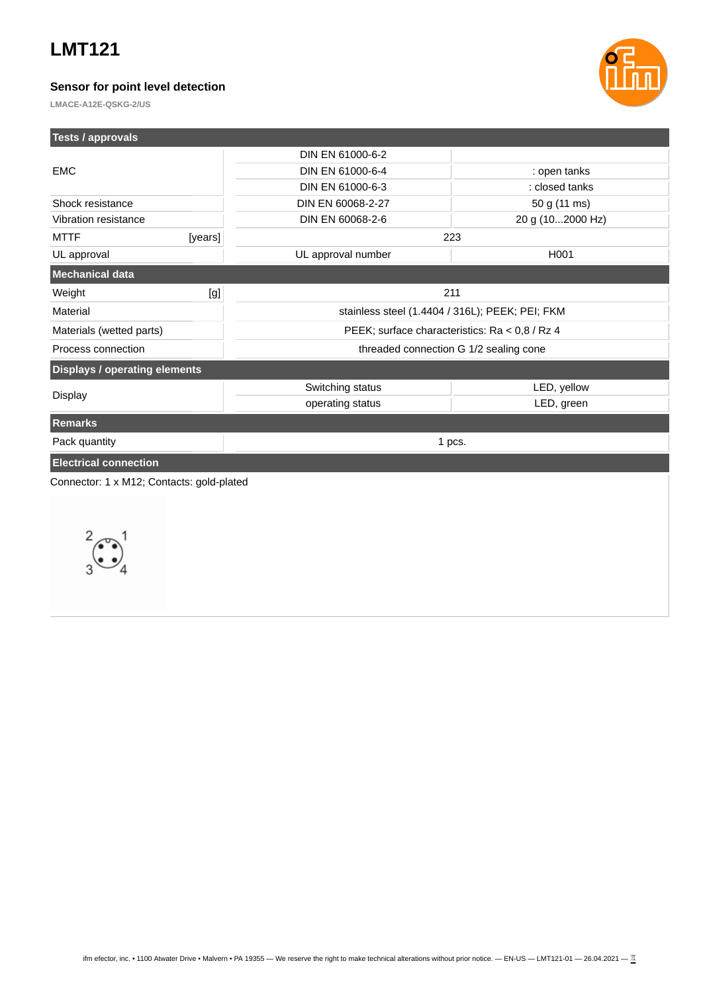### **Sensor for point level detection**



**LMACE-A12E-QSKG-2/US**

| Tests / approvals                         |                                                 |                  |  |
|-------------------------------------------|-------------------------------------------------|------------------|--|
| <b>EMC</b>                                | DIN EN 61000-6-2                                |                  |  |
|                                           | DIN EN 61000-6-4                                | : open tanks     |  |
|                                           | DIN EN 61000-6-3                                | : closed tanks   |  |
| Shock resistance                          | DIN EN 60068-2-27                               | 50 g (11 ms)     |  |
| Vibration resistance                      | DIN EN 60068-2-6                                | 20 g (102000 Hz) |  |
| [years]<br><b>MTTF</b>                    | 223                                             |                  |  |
| UL approval                               | UL approval number                              | H001             |  |
| <b>Mechanical data</b>                    |                                                 |                  |  |
| Weight<br>[g]                             | 211                                             |                  |  |
| Material                                  | stainless steel (1.4404 / 316L); PEEK; PEI; FKM |                  |  |
| Materials (wetted parts)                  | PEEK; surface characteristics: Ra < 0,8 / Rz 4  |                  |  |
| Process connection                        | threaded connection G 1/2 sealing cone          |                  |  |
| <b>Displays / operating elements</b>      |                                                 |                  |  |
|                                           | Switching status                                | LED, yellow      |  |
| <b>Display</b>                            | operating status                                | LED, green       |  |
| <b>Remarks</b>                            |                                                 |                  |  |
| Pack quantity                             | 1 pcs.                                          |                  |  |
| <b>Electrical connection</b>              |                                                 |                  |  |
| Connector: 1 x M12; Contacts: gold-plated |                                                 |                  |  |
|                                           |                                                 |                  |  |